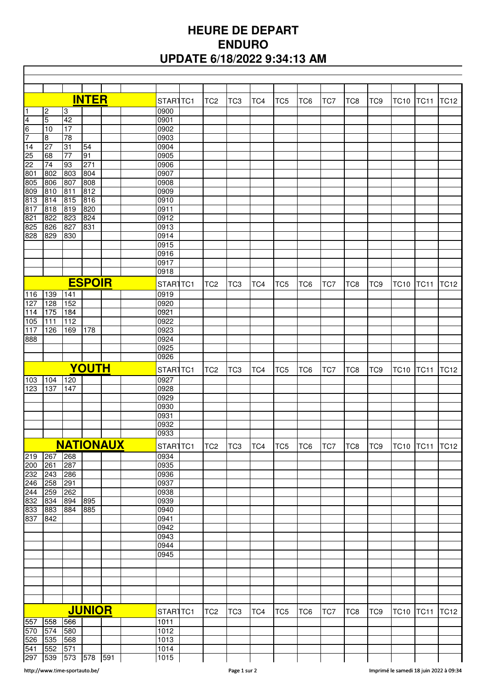## **HEURE DE DEPART ENDURO UPDATE 6/18/2022 9:34:13 AM**

|                  |                |                 | <b>INTER</b> |  |  | STAR1TC1     | TC <sub>2</sub> | TC <sub>3</sub> | TC4 | TC <sub>5</sub> | TC <sub>6</sub> | TC7 | TC <sub>8</sub> | TC <sub>9</sub> | <b>TC10</b>      | <b>TC11</b>    | <b>TC12</b> |
|------------------|----------------|-----------------|--------------|--|--|--------------|-----------------|-----------------|-----|-----------------|-----------------|-----|-----------------|-----------------|------------------|----------------|-------------|
| 1                | $\overline{2}$ | 3               |              |  |  | 0900         |                 |                 |     |                 |                 |     |                 |                 |                  |                |             |
| $\overline{4}$   | $\overline{5}$ | 42              |              |  |  | 0901         |                 |                 |     |                 |                 |     |                 |                 |                  |                |             |
| 6                | 10             | 17              |              |  |  | 0902         |                 |                 |     |                 |                 |     |                 |                 |                  |                |             |
| 7                | $\overline{8}$ | 78              |              |  |  | 0903         |                 |                 |     |                 |                 |     |                 |                 |                  |                |             |
| 14               | 27             | 31              | 54           |  |  | 0904         |                 |                 |     |                 |                 |     |                 |                 |                  |                |             |
| 25               | 68             | $\overline{77}$ | 91           |  |  | 0905         |                 |                 |     |                 |                 |     |                 |                 |                  |                |             |
| $\overline{22}$  | 74             | 93              | 271          |  |  | 0906         |                 |                 |     |                 |                 |     |                 |                 |                  |                |             |
| 801              | 802            | 803             | 804          |  |  | 0907         |                 |                 |     |                 |                 |     |                 |                 |                  |                |             |
| 805              | 806            | 807             | 808          |  |  | 0908         |                 |                 |     |                 |                 |     |                 |                 |                  |                |             |
| 809              | 810            | 811             | 812          |  |  | 0909         |                 |                 |     |                 |                 |     |                 |                 |                  |                |             |
| 813              | 814            | 815             | 816          |  |  | 0910         |                 |                 |     |                 |                 |     |                 |                 |                  |                |             |
| 817              | 818            | 819             | 820          |  |  | 0911         |                 |                 |     |                 |                 |     |                 |                 |                  |                |             |
| 821              | 822            | 823             | 824          |  |  | 0912         |                 |                 |     |                 |                 |     |                 |                 |                  |                |             |
| 825              | 826            | 827             | 831          |  |  | 0913         |                 |                 |     |                 |                 |     |                 |                 |                  |                |             |
|                  |                |                 |              |  |  |              |                 |                 |     |                 |                 |     |                 |                 |                  |                |             |
| 828              | 829            | 830             |              |  |  | 0914         |                 |                 |     |                 |                 |     |                 |                 |                  |                |             |
|                  |                |                 |              |  |  | 0915         |                 |                 |     |                 |                 |     |                 |                 |                  |                |             |
|                  |                |                 |              |  |  | 0916         |                 |                 |     |                 |                 |     |                 |                 |                  |                |             |
|                  |                |                 |              |  |  | 0917<br>0918 |                 |                 |     |                 |                 |     |                 |                 |                  |                |             |
|                  |                |                 |              |  |  |              |                 |                 |     |                 |                 |     |                 |                 |                  |                |             |
| <b>ESPOIR</b>    |                |                 |              |  |  | STAR1TC1     | TC <sub>2</sub> | TC <sub>3</sub> | TC4 | TC <sub>5</sub> | TC <sub>6</sub> | TC7 | TC <sub>8</sub> | TC <sub>9</sub> | <b>TC10</b>      | <b>TC11</b>    | <b>TC12</b> |
| 116              | 139            | 141             |              |  |  | 0919         |                 |                 |     |                 |                 |     |                 |                 |                  |                |             |
| 127              | 128            | 152             |              |  |  | 0920         |                 |                 |     |                 |                 |     |                 |                 |                  |                |             |
| 114              | 175            | 184             |              |  |  | 0921         |                 |                 |     |                 |                 |     |                 |                 |                  |                |             |
| 105              | 111            | 112             |              |  |  | 0922         |                 |                 |     |                 |                 |     |                 |                 |                  |                |             |
| 117              | 126            | 169             | 178          |  |  | 0923         |                 |                 |     |                 |                 |     |                 |                 |                  |                |             |
| 888              |                |                 |              |  |  | 0924         |                 |                 |     |                 |                 |     |                 |                 |                  |                |             |
|                  |                |                 |              |  |  | 0925         |                 |                 |     |                 |                 |     |                 |                 |                  |                |             |
|                  |                |                 |              |  |  | 0926         |                 |                 |     |                 |                 |     |                 |                 |                  |                |             |
|                  |                |                 |              |  |  |              |                 |                 |     |                 |                 |     |                 |                 |                  |                |             |
|                  |                |                 | YOUTH        |  |  | STAR1TC1     | TC <sub>2</sub> | TC <sub>3</sub> | TC4 | TC <sub>5</sub> | TC <sub>6</sub> | TC7 | TC <sub>8</sub> | TC <sub>9</sub> | <b>TC10</b>      | <b>TC11</b>    | <b>TC12</b> |
| 103              | 104            | 120             |              |  |  | 0927         |                 |                 |     |                 |                 |     |                 |                 |                  |                |             |
| 123              | 137            | 147             |              |  |  | 0928         |                 |                 |     |                 |                 |     |                 |                 |                  |                |             |
|                  |                |                 |              |  |  | 0929         |                 |                 |     |                 |                 |     |                 |                 |                  |                |             |
|                  |                |                 |              |  |  | 0930         |                 |                 |     |                 |                 |     |                 |                 |                  |                |             |
|                  |                |                 |              |  |  | 0931         |                 |                 |     |                 |                 |     |                 |                 |                  |                |             |
|                  |                |                 |              |  |  | 0932         |                 |                 |     |                 |                 |     |                 |                 |                  |                |             |
|                  |                |                 |              |  |  | 0933         |                 |                 |     |                 |                 |     |                 |                 |                  |                |             |
| <b>NATIONAUX</b> |                |                 |              |  |  |              | TC <sub>3</sub> |                 | TC5 |                 | TC7             |     | TC <sub>9</sub> |                 |                  |                |             |
|                  |                |                 |              |  |  | STAR1TC1     | TC <sub>2</sub> |                 | TC4 |                 | TC <sub>6</sub> |     | TC8             |                 |                  | TC10 TC11 TC12 |             |
| 219              | 267            | 268             |              |  |  | 0934         |                 |                 |     |                 |                 |     |                 |                 |                  |                |             |
| 200              | 261            | 287             |              |  |  | 0935         |                 |                 |     |                 |                 |     |                 |                 |                  |                |             |
| 232              | 243            | 286             |              |  |  | 0936         |                 |                 |     |                 |                 |     |                 |                 |                  |                |             |
| 246              | 258            | 291             |              |  |  | 0937         |                 |                 |     |                 |                 |     |                 |                 |                  |                |             |
| 244              | 259            | 262             |              |  |  | 0938         |                 |                 |     |                 |                 |     |                 |                 |                  |                |             |
| 832              | 834            | 894             | 895          |  |  | 0939         |                 |                 |     |                 |                 |     |                 |                 |                  |                |             |
| 833              | 883            | 884             | 885          |  |  | 0940         |                 |                 |     |                 |                 |     |                 |                 |                  |                |             |
| 837 842          |                |                 |              |  |  | 0941         |                 |                 |     |                 |                 |     |                 |                 |                  |                |             |
|                  |                |                 |              |  |  | 0942         |                 |                 |     |                 |                 |     |                 |                 |                  |                |             |
|                  |                |                 |              |  |  | 0943         |                 |                 |     |                 |                 |     |                 |                 |                  |                |             |
|                  |                |                 |              |  |  | 0944         |                 |                 |     |                 |                 |     |                 |                 |                  |                |             |
|                  |                |                 |              |  |  | 0945         |                 |                 |     |                 |                 |     |                 |                 |                  |                |             |
|                  |                |                 |              |  |  |              |                 |                 |     |                 |                 |     |                 |                 |                  |                |             |
|                  |                |                 |              |  |  |              |                 |                 |     |                 |                 |     |                 |                 |                  |                |             |
|                  |                |                 |              |  |  |              |                 |                 |     |                 |                 |     |                 |                 |                  |                |             |
|                  |                |                 |              |  |  |              |                 |                 |     |                 |                 |     |                 |                 |                  |                |             |
|                  |                |                 |              |  |  |              |                 |                 |     |                 |                 |     |                 |                 |                  |                |             |
| <b>JUNIOR</b>    |                |                 |              |  |  | STAR1TC1     | TC <sub>2</sub> | TC <sub>3</sub> | TC4 | TC <sub>5</sub> | TC6             | TC7 | TC8             | TC <sub>9</sub> | <b>TC10 TC11</b> |                | <b>TC12</b> |
|                  |                |                 |              |  |  |              |                 |                 |     |                 |                 |     |                 |                 |                  |                |             |
| 557              | 558            | 566             |              |  |  | 1011<br>1012 |                 |                 |     |                 |                 |     |                 |                 |                  |                |             |
| 570 574          |                | 580             |              |  |  |              |                 |                 |     |                 |                 |     |                 |                 |                  |                |             |
| 526              | 535            | 568             |              |  |  | 1013         |                 |                 |     |                 |                 |     |                 |                 |                  |                |             |
| 541              | 552            | 571             |              |  |  | 1014         |                 |                 |     |                 |                 |     |                 |                 |                  |                |             |
| 297 539          |                | 573 578 591     |              |  |  | 1015         |                 |                 |     |                 |                 |     |                 |                 |                  |                |             |